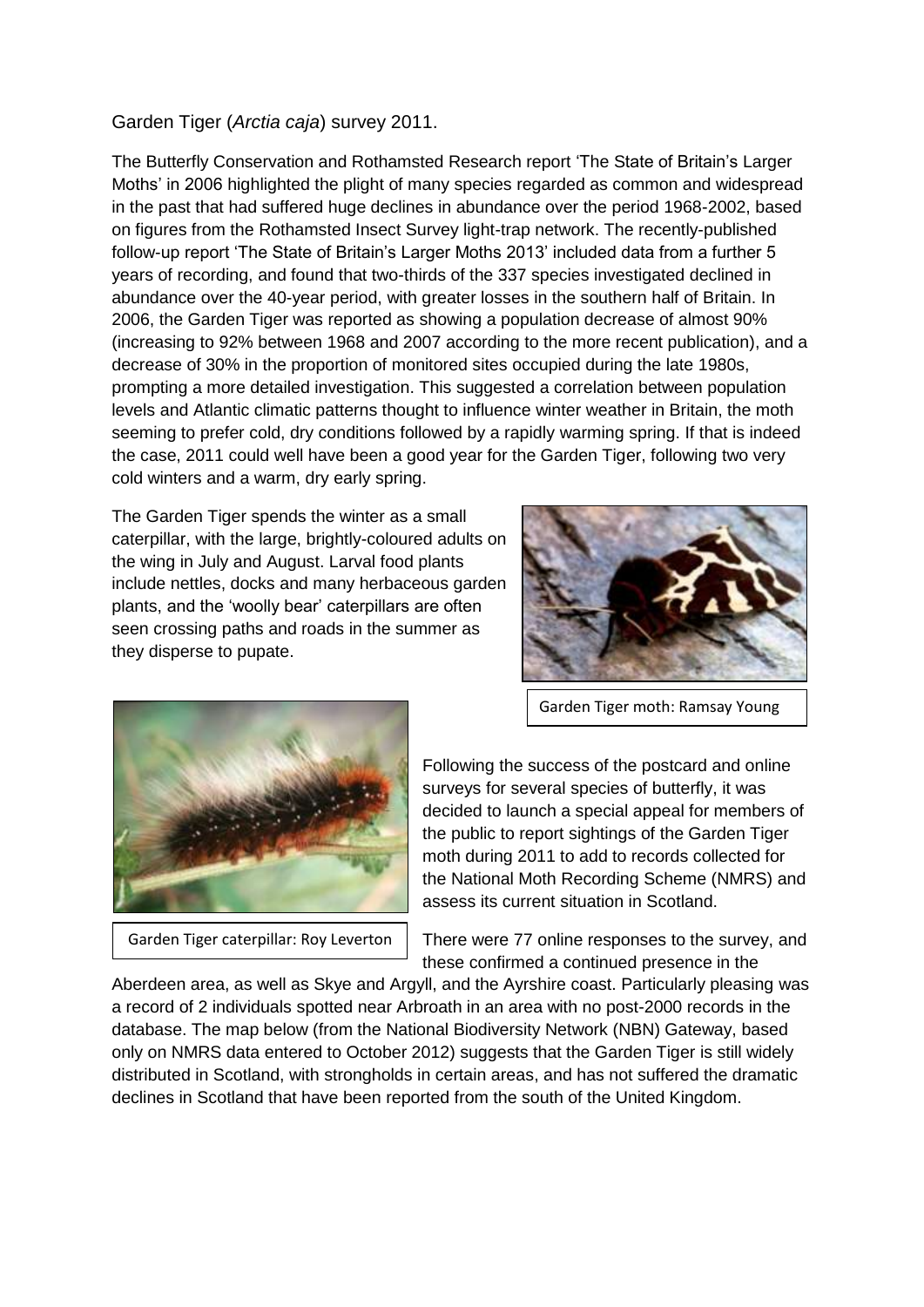## Garden Tiger (*Arctia caja*) survey 2011.

The Butterfly Conservation and Rothamsted Research report 'The State of Britain's Larger Moths' in 2006 highlighted the plight of many species regarded as common and widespread in the past that had suffered huge declines in abundance over the period 1968-2002, based on figures from the Rothamsted Insect Survey light-trap network. The recently-published follow-up report 'The State of Britain's Larger Moths 2013' included data from a further 5 years of recording, and found that two-thirds of the 337 species investigated declined in abundance over the 40-year period, with greater losses in the southern half of Britain. In 2006, the Garden Tiger was reported as showing a population decrease of almost 90% (increasing to 92% between 1968 and 2007 according to the more recent publication), and a decrease of 30% in the proportion of monitored sites occupied during the late 1980s, prompting a more detailed investigation. This suggested a correlation between population levels and Atlantic climatic patterns thought to influence winter weather in Britain, the moth seeming to prefer cold, dry conditions followed by a rapidly warming spring. If that is indeed the case, 2011 could well have been a good year for the Garden Tiger, following two very cold winters and a warm, dry early spring.

The Garden Tiger spends the winter as a small caterpillar, with the large, brightly-coloured adults on the wing in July and August. Larval food plants include nettles, docks and many herbaceous garden plants, and the 'woolly bear' caterpillars are often seen crossing paths and roads in the summer as they disperse to pupate.



Garden Tiger moth: Ramsay Young



Garden Tiger caterpillar: Roy Leverton

Following the success of the postcard and online surveys for several species of butterfly, it was decided to launch a special appeal for members of the public to report sightings of the Garden Tiger moth during 2011 to add to records collected for the National Moth Recording Scheme (NMRS) and assess its current situation in Scotland.

There were 77 online responses to the survey, and these confirmed a continued presence in the

Aberdeen area, as well as Skye and Argyll, and the Ayrshire coast. Particularly pleasing was a record of 2 individuals spotted near Arbroath in an area with no post-2000 records in the database. The map below (from the National Biodiversity Network (NBN) Gateway, based only on NMRS data entered to October 2012) suggests that the Garden Tiger is still widely distributed in Scotland, with strongholds in certain areas, and has not suffered the dramatic declines in Scotland that have been reported from the south of the United Kingdom.